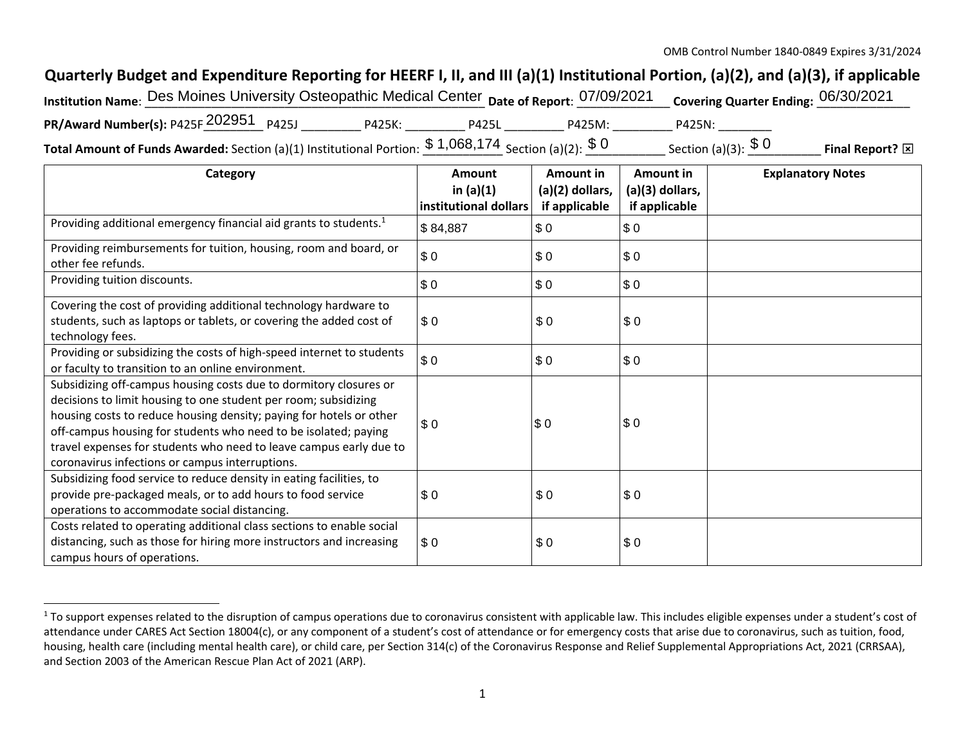## **Quarterly Budget and Expenditure Reporting for HEERF I, II, and III (a)(1) Institutional Portion, (a)(2), and (a)(3), if applicable**

| Institution Name: Des Moines University Osteopathic Medical Center Date of Report: 07/09/2021                           |        |              |        | Covering Quarter Ending: 06/30/2021 |                   |
|-------------------------------------------------------------------------------------------------------------------------|--------|--------------|--------|-------------------------------------|-------------------|
| <b>PR/Award Number(s):</b> P425F $202951$ P425J                                                                         | P425K: | <b>P425L</b> | P425M: | P425N:                              |                   |
| <b>Total Amount of Funds Awarded:</b> Section (a)(1) Institutional Portion: $\frac{\$~1,068,174}{\$~Section~(a)(2):~}\$ |        |              |        | Section (a)(3): $$0$                | Final Report?<br> |

**Category Amount in (a)(1) institutional dollarsAmount in (a)(2) dollars, if applicable Amount in (a)(3) dollars, if applicable Explanatory Notes**  Providing additional emergency financial aid grants to students.1 Providing reimbursements for tuition, housing, room and board, or other fee refunds. Providing tuition discounts. Covering the cost of providing additional technology hardware to students, such as laptops or tablets, or covering the added cost of technology fees. Providing or subsidizing the costs of high‐speed internet to students or faculty to transition to an online environment. Subsidizing off‐campus housing costs due to dormitory closures or decisions to limit housing to one student per room; subsidizing housing costs to reduce housing density; paying for hotels or other off-campus housing for students who need to be isolated; paying travel expenses for students who need to leave campus early due to coronavirus infections or campus interruptions. Subsidizing food service to reduce density in eating facilities, to provide pre‐packaged meals, or to add hours to food service operations to accommodate social distancing. Costs related to operating additional class sections to enable social distancing, such as those for hiring more instructors and increasing campus hours of operations. \$ 84,8877 \$0 \$0 \$ 00 \$ 0 \$ 0 \$ 00 \$ 0 \$ 0  $$0$ 0 \$ 0 \$ 0 \$ 00 \$ 0 \$ 0 \$ 00 \$ 0 \$ 0 \$ 00 \$ 0 \$ 0  $$0$ 0 \$ 0 \$ 0

<sup>&</sup>lt;sup>1</sup> To support expenses related to the disruption of campus operations due to coronavirus consistent with applicable law. This includes eligible expenses under a student's cost of attendance under CARES Act Section 18004(c), or any component of a student's cost of attendance or for emergency costs that arise due to coronavirus, such as tuition, food, housing, health care (including mental health care), or child care, per Section 314(c) of the Coronavirus Response and Relief Supplemental Appropriations Act, 2021 (CRRSAA), and Section 2003 of the American Rescue Plan Act of 2021 (ARP).